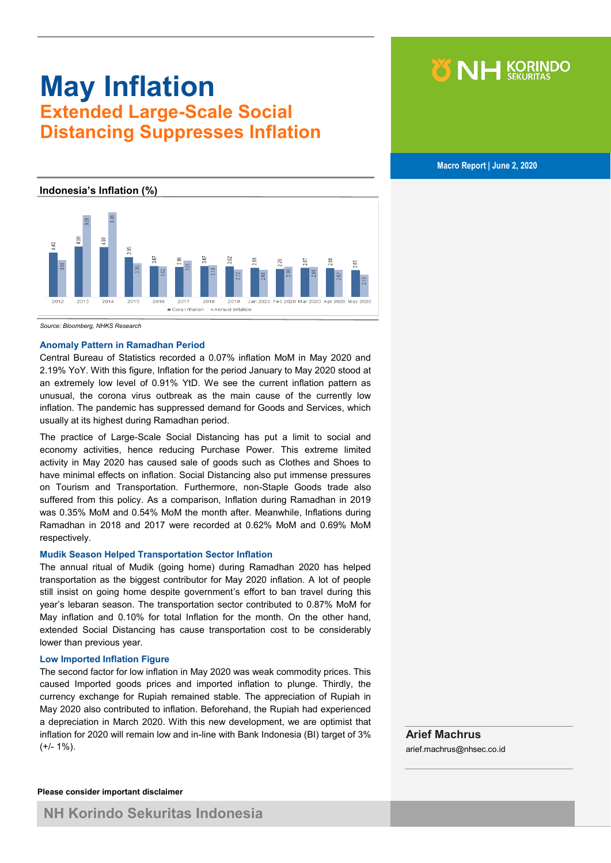# **May Inflation Extended Large-Scale Social Distancing Suppresses Inflation**

 **Macro Report | June 2, 2020**

NH KORINDO

#### **Indonesia's Inflation (%)**



*Source: Bloomberg, NHKS Research*

#### **Anomaly Pattern in Ramadhan Period**

Central Bureau of Statistics recorded a 0.07% inflation MoM in May 2020 and 2.19% YoY. With this figure, Inflation for the period January to May 2020 stood at an extremely low level of 0.91% YtD. We see the current inflation pattern as unusual, the corona virus outbreak as the main cause of the currently low inflation. The pandemic has suppressed demand for Goods and Services, which usually at its highest during Ramadhan period.

The practice of Large-Scale Social Distancing has put a limit to social and economy activities, hence reducing Purchase Power. This extreme limited activity in May 2020 has caused sale of goods such as Clothes and Shoes to have minimal effects on inflation. Social Distancing also put immense pressures on Tourism and Transportation. Furthermore, non-Staple Goods trade also suffered from this policy. As a comparison, Inflation during Ramadhan in 2019 was 0.35% MoM and 0.54% MoM the month after. Meanwhile, Inflations during Ramadhan in 2018 and 2017 were recorded at 0.62% MoM and 0.69% MoM respectively.

### **Mudik Season Helped Transportation Sector Inflation**

The annual ritual of Mudik (going home) during Ramadhan 2020 has helped transportation as the biggest contributor for May 2020 inflation. A lot of people still insist on going home despite government's effort to ban travel during this year's lebaran season. The transportation sector contributed to 0.87% MoM for May inflation and 0.10% for total Inflation for the month. On the other hand, extended Social Distancing has cause transportation cost to be considerably lower than previous year.

#### **Low Imported Inflation Figure**

The second factor for low inflation in May 2020 was weak commodity prices. This caused Imported goods prices and imported inflation to plunge. Thirdly, the currency exchange for Rupiah remained stable. The appreciation of Rupiah in May 2020 also contributed to inflation. Beforehand, the Rupiah had experienced a depreciation in March 2020. With this new development, we are optimist that inflation for 2020 will remain low and in-line with Bank Indonesia (BI) target of 3%  $(+/- 1\%)$ .

**Arief Machrus**  arief.machrus@nhsec.co.id

## **Please consider important disclaimer**